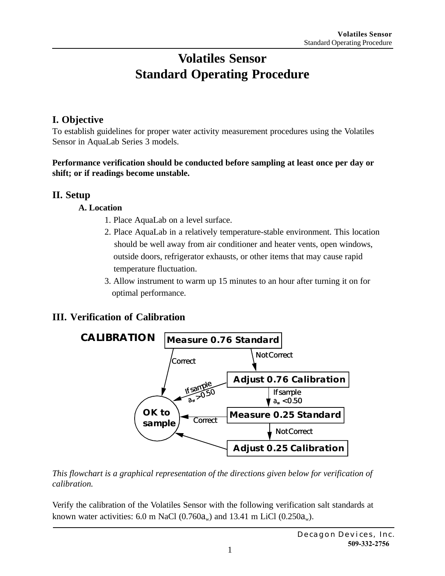# **Volatiles Sensor Standard Operating Procedure**

## **I. Objective**

To establish guidelines for proper water activity measurement procedures using the Volatiles Sensor in AquaLab Series 3 models.

#### **Performance verification should be conducted before sampling at least once per day or shift; or if readings become unstable.**

### **II. Setup**

#### **A. Location**

- 1. Place AquaLab on a level surface.
- 2. Place AquaLab in a relatively temperature-stable environment. This location should be well away from air conditioner and heater vents, open windows, outside doors, refrigerator exhausts, or other items that may cause rapid temperature fluctuation.
- 3. Allow instrument to warm up 15 minutes to an hour after turning it on for optimal performance.

# **III. Verification of Calibration**



*This flowchart is a graphical representation of the directions given below for verification of calibration.*

Verify the calibration of the Volatiles Sensor with the following verification salt standards at known water activities: 6.0 m NaCl (0.760 $a_w$ ) and 13.41 m LiCl (0.250 $a_w$ ).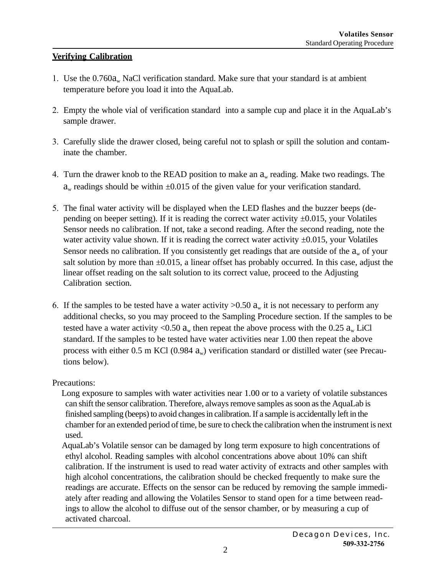#### **Verifying Calibration**

- 1. Use the  $0.760a_w$  NaCl verification standard. Make sure that your standard is at ambient temperature before you load it into the AquaLab.
- 2. Empty the whole vial of verification standard into a sample cup and place it in the AquaLab's sample drawer.
- 3. Carefully slide the drawer closed, being careful not to splash or spill the solution and contaminate the chamber.
- 4. Turn the drawer knob to the READ position to make an  $a_w$  reading. Make two readings. The  $a<sub>w</sub>$  readings should be within  $\pm 0.015$  of the given value for your verification standard.
- 5. The final water activity will be displayed when the LED flashes and the buzzer beeps (depending on beeper setting). If it is reading the correct water activity  $\pm 0.015$ , your Volatiles Sensor needs no calibration. If not, take a second reading. After the second reading, note the water activity value shown. If it is reading the correct water activity  $\pm 0.015$ , your Volatiles Sensor needs no calibration. If you consistently get readings that are outside of the  $a_w$  of your salt solution by more than  $\pm 0.015$ , a linear offset has probably occurred. In this case, adjust the linear offset reading on the salt solution to its correct value, proceed to the Adjusting Calibration section.
- 6. If the samples to be tested have a water activity  $>0.50$   $a_w$  it is not necessary to perform any additional checks, so you may proceed to the Sampling Procedure section. If the samples to be tested have a water activity <0.50  $a_w$  then repeat the above process with the 0.25  $a_w$  LiCl standard. If the samples to be tested have water activities near 1.00 then repeat the above process with either 0.5 m KCl (0.984  $a_w$ ) verification standard or distilled water (see Precautions below).

Precautions:

- Long exposure to samples with water activities near 1.00 or to a variety of volatile substances can shift the sensor calibration. Therefore, always remove samples as soon as the AquaLab is finished sampling (beeps) to avoid changes in calibration. If a sample is accidentally left in the chamber for an extended period of time, be sure to check the calibration when the instrument is next used.
- AquaLab's Volatile sensor can be damaged by long term exposure to high concentrations of ethyl alcohol. Reading samples with alcohol concentrations above about 10% can shift calibration. If the instrument is used to read water activity of extracts and other samples with high alcohol concentrations, the calibration should be checked frequently to make sure the readings are accurate. Effects on the sensor can be reduced by removing the sample immediately after reading and allowing the Volatiles Sensor to stand open for a time between readings to allow the alcohol to diffuse out of the sensor chamber, or by measuring a cup of activated charcoal.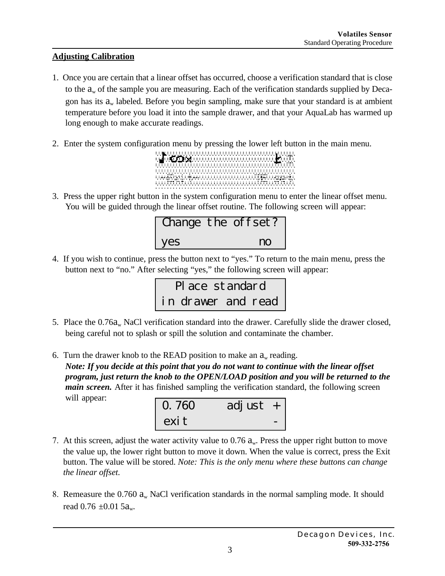#### **Adjusting Calibration**

- 1. Once you are certain that a linear offset has occurred, choose a verification standard that is close to the  $a_w$  of the sample you are measuring. Each of the verification standards supplied by Decagon has its  $a_w$  labeled. Before you begin sampling, make sure that your standard is at ambient temperature before you load it into the sample drawer, and that your AquaLab has warmed up long enough to make accurate readings.
- 2. Enter the system configuration menu by pressing the lower left button in the main menu.

|                               |  |  |  |  |  |  |  |  |  |  |  |  |  |  |  |  |  |  |  |  |  |  |  |  |  |  |  |  |  | A <b>ndak</b> dengan dengan dari <mark>1</mark> 99<br>Mandan dan mengan dan dari 19 |  |  |  |
|-------------------------------|--|--|--|--|--|--|--|--|--|--|--|--|--|--|--|--|--|--|--|--|--|--|--|--|--|--|--|--|--|-------------------------------------------------------------------------------------|--|--|--|
|                               |  |  |  |  |  |  |  |  |  |  |  |  |  |  |  |  |  |  |  |  |  |  |  |  |  |  |  |  |  |                                                                                     |  |  |  |
|                               |  |  |  |  |  |  |  |  |  |  |  |  |  |  |  |  |  |  |  |  |  |  |  |  |  |  |  |  |  |                                                                                     |  |  |  |
| TAIRTIN AATOMATIIN TIITII TAA |  |  |  |  |  |  |  |  |  |  |  |  |  |  |  |  |  |  |  |  |  |  |  |  |  |  |  |  |  |                                                                                     |  |  |  |
|                               |  |  |  |  |  |  |  |  |  |  |  |  |  |  |  |  |  |  |  |  |  |  |  |  |  |  |  |  |  |                                                                                     |  |  |  |
|                               |  |  |  |  |  |  |  |  |  |  |  |  |  |  |  |  |  |  |  |  |  |  |  |  |  |  |  |  |  |                                                                                     |  |  |  |

3. Press the upper right button in the system configuration menu to enter the linear offset menu. You will be guided through the linear offset routine. The following screen will appear:

|     | Change the offset? |
|-----|--------------------|
| yes | no                 |

4. If you wish to continue, press the button next to "yes." To return to the main menu, press the button next to "no." After selecting "yes," the following screen will appear:



- 5. Place the  $0.76a_w$  NaCl verification standard into the drawer. Carefully slide the drawer closed, being careful not to splash or spill the solution and contaminate the chamber.
- 6. Turn the drawer knob to the READ position to make an  $a_w$  reading. *Note: If you decide at this point that you do not want to continue with the linear offset program, just return the knob to the OPEN/LOAD position and you will be returned to the main screen.* After it has finished sampling the verification standard, the following screen will appear:

| 0.760 |          |  |
|-------|----------|--|
| exi t | adjust + |  |

- 7. At this screen, adjust the water activity value to 0.76  $a_w$ . Press the upper right button to move the value up, the lower right button to move it down. When the value is correct, press the Exit button. The value will be stored. *Note: This is the only menu where these buttons can change the linear offset.*
- 8. Remeasure the  $0.760$   $a_w$  NaCl verification standards in the normal sampling mode. It should read  $0.76 \pm 0.015a$ <sub>w</sub>.